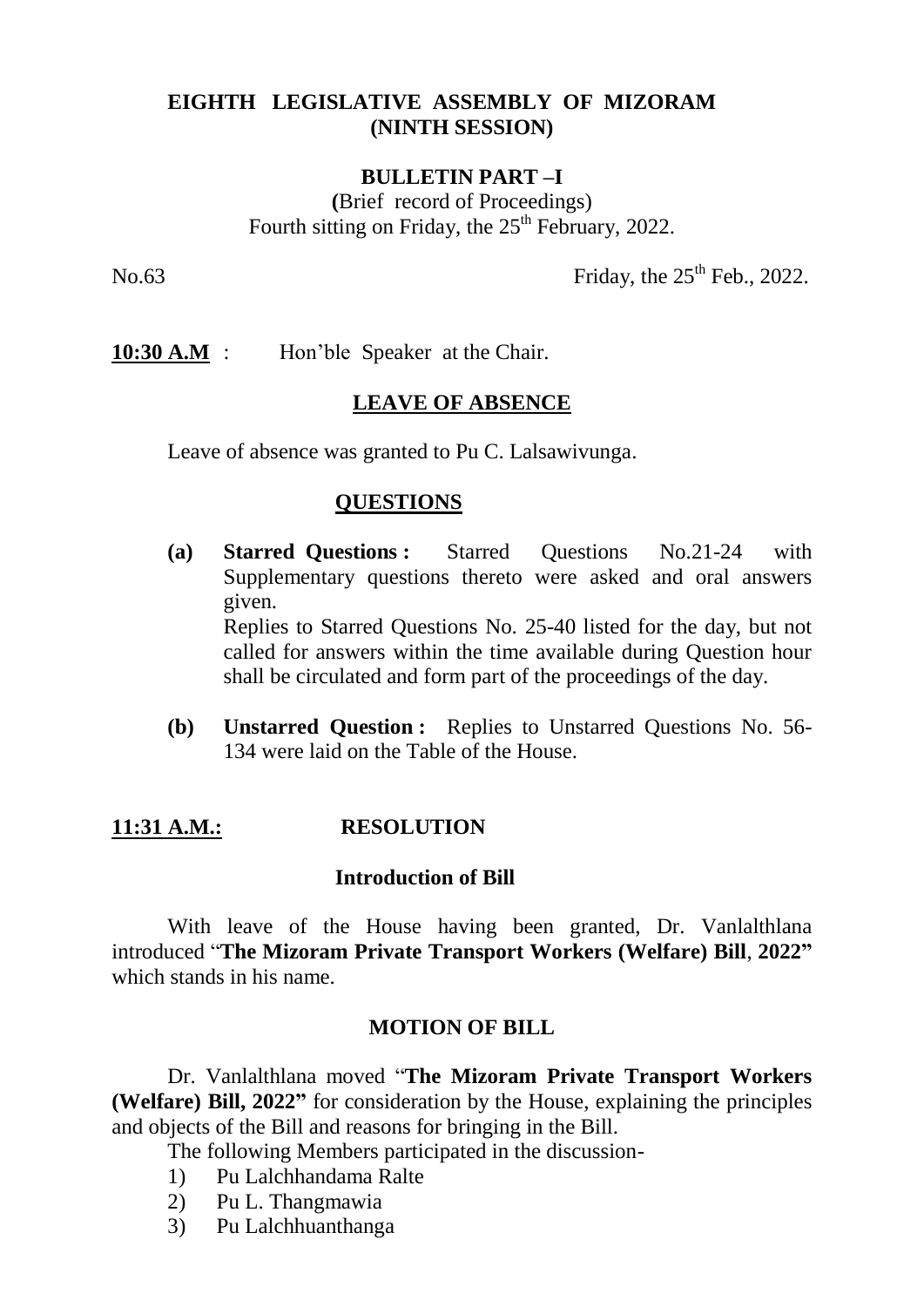# **EIGHTH LEGISLATIVE ASSEMBLY OF MIZORAM (NINTH SESSION)**

### **BULLETIN PART –I**

**(**Brief record of Proceedings) Fourth sitting on Friday, the  $25<sup>th</sup>$  February, 2022.

No.63 Friday, the  $25<sup>th</sup>$  Feb., 2022.

**10:30 A.M** : Hon'ble Speaker at the Chair.

### **LEAVE OF ABSENCE**

Leave of absence was granted to Pu C. Lalsawivunga.

### **QUESTIONS**

- **(a) Starred Questions :** Starred Questions No.21-24 with Supplementary questions thereto were asked and oral answers given. Replies to Starred Questions No. 25-40 listed for the day, but not called for answers within the time available during Question hour shall be circulated and form part of the proceedings of the day.
- **(b) Unstarred Question :** Replies to Unstarred Questions No. 56- 134 were laid on the Table of the House.

## **11:31 A.M.: RESOLUTION**

#### **Introduction of Bill**

With leave of the House having been granted, Dr. Vanlalthlana introduced "**The Mizoram Private Transport Workers (Welfare) Bill**, **2022"** which stands in his name.

#### **MOTION OF BILL**

Dr. Vanlalthlana moved "**The Mizoram Private Transport Workers (Welfare) Bill, 2022"** for consideration by the House, explaining the principles and objects of the Bill and reasons for bringing in the Bill.

The following Members participated in the discussion-

- 1) Pu Lalchhandama Ralte
- 2) Pu L. Thangmawia
- 3) Pu Lalchhuanthanga